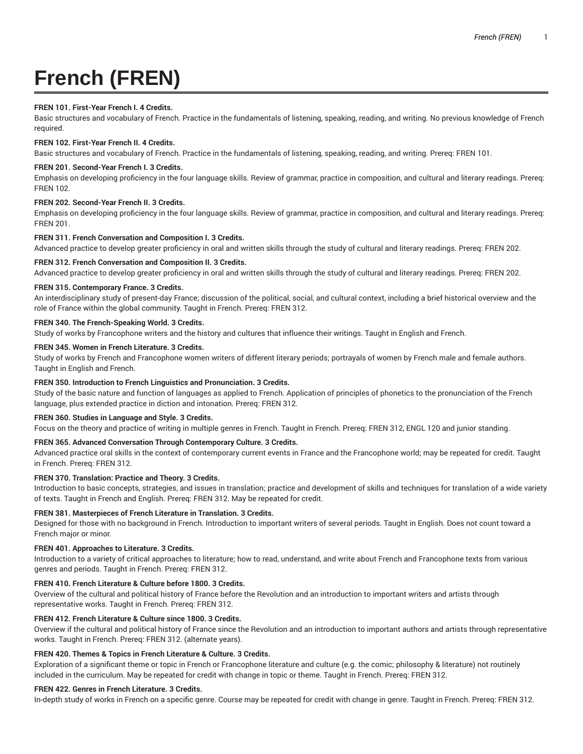# **French (FREN)**

# **FREN 101. First-Year French I. 4 Credits.**

Basic structures and vocabulary of French. Practice in the fundamentals of listening, speaking, reading, and writing. No previous knowledge of French required.

## **FREN 102. First-Year French II. 4 Credits.**

Basic structures and vocabulary of French. Practice in the fundamentals of listening, speaking, reading, and writing. Prereq: FREN 101.

## **FREN 201. Second-Year French I. 3 Credits.**

Emphasis on developing proficiency in the four language skills. Review of grammar, practice in composition, and cultural and literary readings. Prereq: FREN 102.

## **FREN 202. Second-Year French II. 3 Credits.**

Emphasis on developing proficiency in the four language skills. Review of grammar, practice in composition, and cultural and literary readings. Prereq: FREN 201.

## **FREN 311. French Conversation and Composition I. 3 Credits.**

Advanced practice to develop greater proficiency in oral and written skills through the study of cultural and literary readings. Prereq: FREN 202.

## **FREN 312. French Conversation and Composition II. 3 Credits.**

Advanced practice to develop greater proficiency in oral and written skills through the study of cultural and literary readings. Prereq: FREN 202.

## **FREN 315. Contemporary France. 3 Credits.**

An interdisciplinary study of present-day France; discussion of the political, social, and cultural context, including a brief historical overview and the role of France within the global community. Taught in French. Prereq: FREN 312.

## **FREN 340. The French-Speaking World. 3 Credits.**

Study of works by Francophone writers and the history and cultures that influence their writings. Taught in English and French.

### **FREN 345. Women in French Literature. 3 Credits.**

Study of works by French and Francophone women writers of different literary periods; portrayals of women by French male and female authors. Taught in English and French.

# **FREN 350. Introduction to French Linguistics and Pronunciation. 3 Credits.**

Study of the basic nature and function of languages as applied to French. Application of principles of phonetics to the pronunciation of the French language, plus extended practice in diction and intonation. Prereq: FREN 312.

# **FREN 360. Studies in Language and Style. 3 Credits.**

Focus on the theory and practice of writing in multiple genres in French. Taught in French. Prereq: FREN 312, ENGL 120 and junior standing.

### **FREN 365. Advanced Conversation Through Contemporary Culture. 3 Credits.**

Advanced practice oral skills in the context of contemporary current events in France and the Francophone world; may be repeated for credit. Taught in French. Prereq: FREN 312.

# **FREN 370. Translation: Practice and Theory. 3 Credits.**

Introduction to basic concepts, strategies, and issues in translation; practice and development of skills and techniques for translation of a wide variety of texts. Taught in French and English. Prereq: FREN 312. May be repeated for credit.

### **FREN 381. Masterpieces of French Literature in Translation. 3 Credits.**

Designed for those with no background in French. Introduction to important writers of several periods. Taught in English. Does not count toward a French major or minor.

# **FREN 401. Approaches to Literature. 3 Credits.**

Introduction to a variety of critical approaches to literature; how to read, understand, and write about French and Francophone texts from various genres and periods. Taught in French. Prereq: FREN 312.

### **FREN 410. French Literature & Culture before 1800. 3 Credits.**

Overview of the cultural and political history of France before the Revolution and an introduction to important writers and artists through representative works. Taught in French. Prereq: FREN 312.

### **FREN 412. French Literature & Culture since 1800. 3 Credits.**

Overview if the cultural and political history of France since the Revolution and an introduction to important authors and artists through representative works. Taught in French. Prereq: FREN 312. (alternate years).

# **FREN 420. Themes & Topics in French Literature & Culture. 3 Credits.**

Exploration of a significant theme or topic in French or Francophone literature and culture (e.g. the comic; philosophy & literature) not routinely included in the curriculum. May be repeated for credit with change in topic or theme. Taught in French. Prereq: FREN 312.

### **FREN 422. Genres in French Literature. 3 Credits.**

In-depth study of works in French on a specific genre. Course may be repeated for credit with change in genre. Taught in French. Prereq: FREN 312.